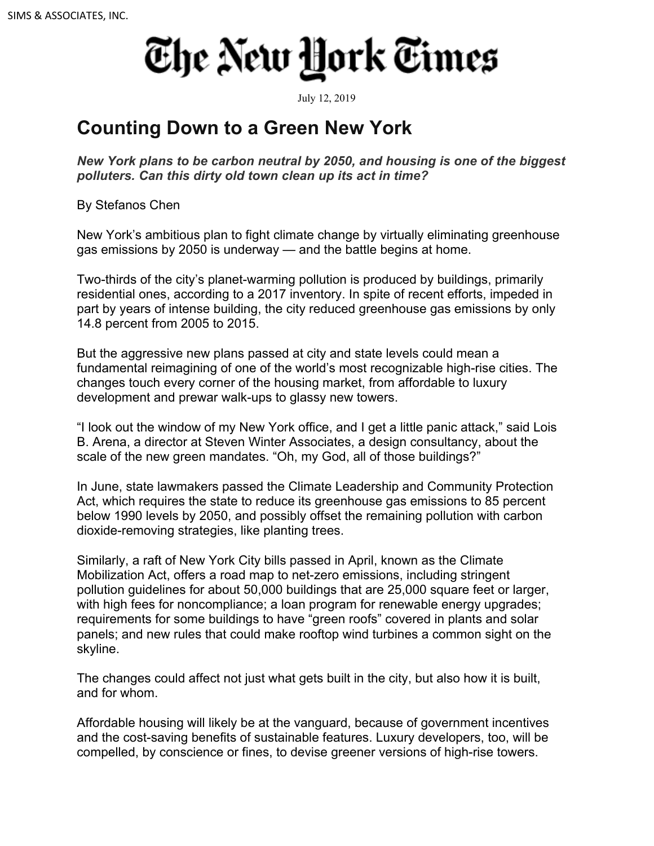# The New York Times

July 12, 2019

# **Counting Down to a Green New York**

*New York plans to be carbon neutral by 2050, and housing is one of the biggest polluters. Can this dirty old town clean up its act in time?*

By Stefanos Chen

New York's ambitious plan to fight climate change by virtually eliminating greenhouse gas emissions by 2050 is underway — and the battle begins at home.

Two-thirds of the city's planet-warming pollution is produced by buildings, primarily residential ones, [according to a 2017 inventory](http://www.dec.ny.gov/docs/administration_pdf/nycghg.pdf). In spite of recent efforts, impeded in part by years of intense building, the city reduced greenhouse gas emissions by only 14.8 percent from 2005 to 2015.

But the aggressive new plans passed at city and state levels could mean a fundamental reimagining of one of the world's most recognizable high-rise cities. The changes touch every corner of the housing market, from affordable to luxury development and prewar walk-ups to glassy new towers.

"I look out the window of my New York office, and I get a little panic attack," said Lois B. Arena, a director at Steven Winter Associates, a design consultancy, about the scale of the new green mandates. "Oh, my God, all of those buildings?"

In June, state lawmakers [passed the Climate Leadership and Community Protection](https://www.nytimes.com/2019/06/18/nyregion/greenhouse-gases-ny.html?module=inline)  [Act](https://www.nytimes.com/2019/06/18/nyregion/greenhouse-gases-ny.html?module=inline), which requires the state to reduce its greenhouse gas emissions to 85 percent below 1990 levels by 2050, and possibly offset the remaining pollution with carbon dioxide-removing strategies, like planting trees.

Similarly, a raft of New York City bills passed in April, [known as the Climate](https://www.nytimes.com/2019/04/17/nyregion/nyc-energy-laws.html?module=inline)  [Mobilization Act](https://www.nytimes.com/2019/04/17/nyregion/nyc-energy-laws.html?module=inline), offers a road map to net-zero emissions, including stringent pollution guidelines for about 50,000 buildings that are 25,000 square feet or larger, with high fees for noncompliance; a loan program for renewable energy upgrades; requirements for some buildings to have "green roofs" covered in plants and solar panels; and new rules that could make rooftop wind turbines a common sight on the skyline.

The changes could affect not just what gets built in the city, but also how it is built, and for whom.

Affordable housing will likely be at the vanguard, because of government incentives and the cost-saving benefits of sustainable features. Luxury developers, too, will be compelled, by conscience or fines, to devise greener versions of high-rise towers.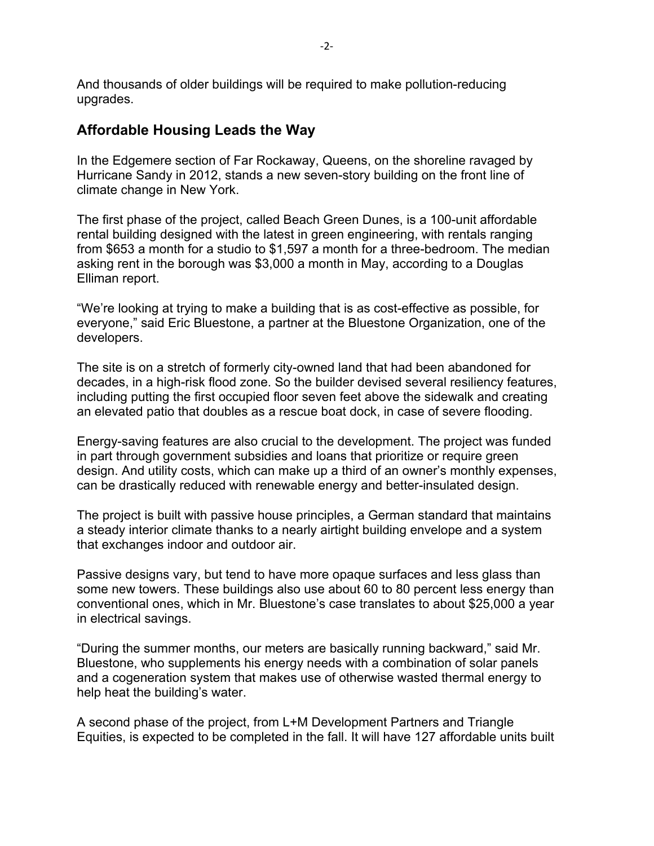And thousands of older buildings will be required to make pollution-reducing upgrades.

## **Affordable Housing Leads the Way**

In the Edgemere section of Far Rockaway, Queens, on the shoreline ravaged by Hurricane Sandy in 2012, stands a new seven-story building on the front line of climate change in New York.

The first phase of the project, called Beach Green Dunes, is a 100-unit affordable rental building designed with the latest in green engineering, with rentals ranging from \$653 a month for a studio to \$1,597 a month for a three-bedroom. The median asking rent in the borough was \$3,000 a month in May, according to a Douglas Elliman report.

"We're looking at trying to make a building that is as cost-effective as possible, for everyone," said Eric Bluestone, a partner at the Bluestone Organization, one of the developers.

The site is on a stretch of formerly city-owned land that had been abandoned for decades, in a high-risk flood zone. So the builder devised several resiliency features, including putting the first occupied floor seven feet above the sidewalk and creating an elevated patio that doubles as a rescue boat dock, in case of severe flooding.

Energy-saving features are also crucial to the development. The project was funded in part through government subsidies and loans that prioritize or require green design. And utility costs, which can make up a third of an owner's monthly expenses, can be drastically reduced with renewable energy and better-insulated design.

The project is built with [passive house](https://www.nytimes.com/2015/03/29/realestate/the-passive-house-in-new-york-city.html?module=inline) principles, a German standard that maintains a steady interior climate thanks to a nearly airtight building envelope and a system that exchanges indoor and outdoor air.

Passive designs vary, but tend to have more opaque surfaces and less glass than some new towers. These buildings also use about 60 to 80 percent less energy than conventional ones, which in Mr. Bluestone's case translates to about \$25,000 a year in electrical savings.

"During the summer months, our meters are basically running backward," said Mr. Bluestone, who supplements his energy needs with a combination of solar panels and a cogeneration system that makes use of otherwise wasted thermal energy to help heat the building's water.

A second phase of the project, from L+M Development Partners and Triangle Equities, is expected to be completed in the fall. It will have 127 affordable units built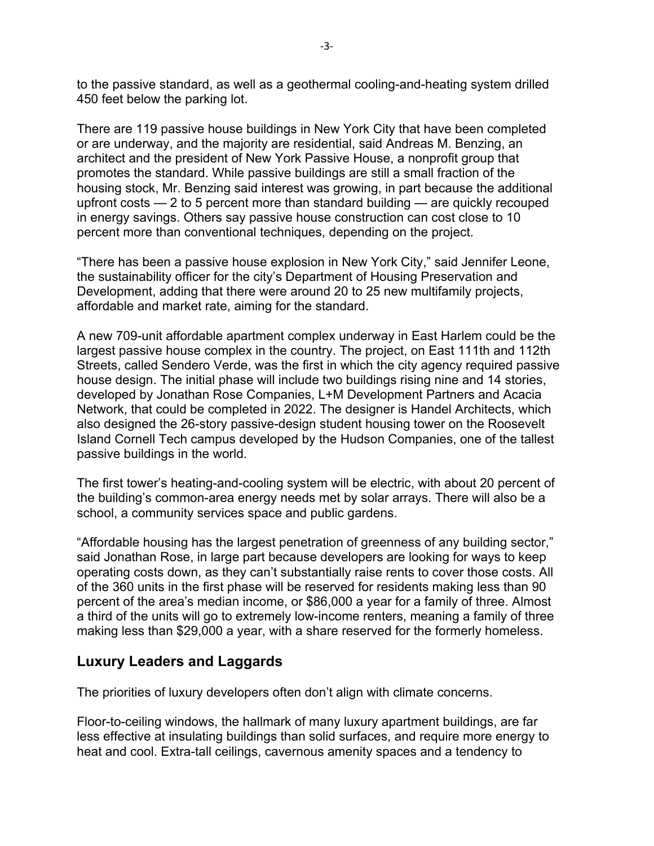to the passive standard, as well as a geothermal cooling-and-heating system drilled 450 feet below the parking lot.

There are 119 passive house buildings in New York City that have been completed or are underway, and the majority are residential, said Andreas M. Benzing, an architect and the president of New York Passive House, a nonprofit group that promotes the standard. While passive buildings are still a small fraction of the housing stock, Mr. Benzing said interest was growing, in part because the additional upfront costs — 2 to 5 percent more than standard building — are quickly recouped in energy savings. Others say passive house construction can cost close to 10 percent more than conventional techniques, depending on the project.

"There has been a passive house explosion in New York City," said Jennifer Leone, the sustainability officer for the city's Department of Housing Preservation and Development, adding that there were around 20 to 25 new multifamily projects, affordable and market rate, aiming for the standard.

A new 709-unit affordable apartment complex underway in East Harlem could be the largest passive house complex in the country. The project, on East 111th and 112th Streets, called Sendero Verde, was the first in which the city agency required passive house design. The initial phase will include two buildings rising nine and 14 stories, developed by Jonathan Rose Companies, L+M Development Partners and Acacia Network, that could be completed in 2022. The designer is Handel Architects, which also designed the 26-story passive-design student housing tower on the Roosevelt Island Cornell Tech campus developed by the Hudson Companies, one of the tallest passive buildings in the world.

The first tower's heating-and-cooling system will be electric, with about 20 percent of the building's common-area energy needs met by solar arrays. There will also be a school, a community services space and public gardens.

"Affordable housing has the largest penetration of greenness of any building sector," said Jonathan Rose, in large part because developers are looking for ways to keep operating costs down, as they can't substantially raise rents to cover those costs. All of the 360 units in the first phase will be reserved for residents making less than 90 percent of the area's median income, or \$86,000 a year for a family of three. Almost a third of the units will go to extremely low-income renters, meaning a family of three making less than \$29,000 a year, with a share reserved for the formerly homeless.

### **Luxury Leaders and Laggards**

The priorities of luxury developers often don't align with climate concerns.

Floor-to-ceiling windows, the hallmark of many luxury apartment buildings, are far less effective at insulating buildings than solid surfaces, and require more energy to heat and cool. Extra-tall ceilings, cavernous amenity spaces and a tendency to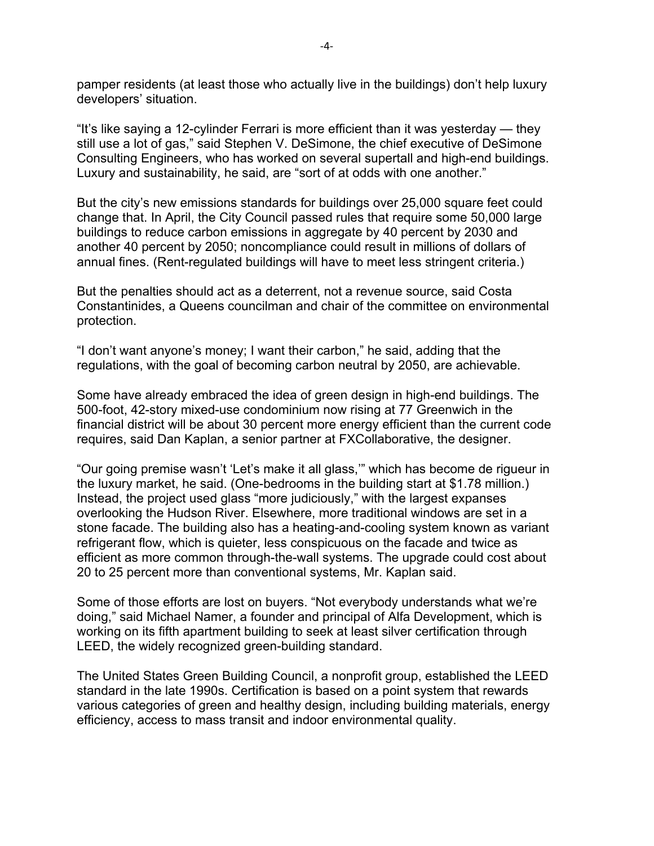pamper residents (at least those who actually live in the buildings) don't help luxury developers' situation.

"It's like saying a 12-cylinder Ferrari is more efficient than it was yesterday — they still use a lot of gas," said Stephen V. DeSimone, the chief executive of DeSimone Consulting Engineers, who has worked on several supertall and high-end buildings. Luxury and sustainability, he said, are "sort of at odds with one another."

But the city's new emissions standards for buildings over 25,000 square feet could change that. In April, the City Council passed rules that require some 50,000 large buildings to reduce carbon emissions in aggregate by 40 percent by 2030 and another 40 percent by 2050; noncompliance could result in millions of dollars of annual fines. (Rent-regulated buildings will have to meet less stringent criteria.)

But the penalties should act as a deterrent, not a revenue source, said Costa Constantinides, a Queens councilman and chair of the committee on environmental protection.

"I don't want anyone's money; I want their carbon," he said, adding that the regulations, with the goal of becoming carbon neutral by 2050, are achievable.

Some have already embraced the idea of green design in high-end buildings. The 500-foot, 42-story mixed-use condominium now rising at 77 Greenwich in the financial district will be about 30 percent more energy efficient than the current code requires, said Dan Kaplan, a senior partner at FXCollaborative, the designer.

"Our going premise wasn't 'Let's make it all glass,'" which has become de rigueur in the luxury market, he said. (One-bedrooms in the building start at \$1.78 million.) Instead, the project used glass "more judiciously," with the largest expanses overlooking the Hudson River. Elsewhere, more traditional windows are set in a stone facade. The building also has a heating-and-cooling system known as variant refrigerant flow, which is quieter, less conspicuous on the facade and twice as efficient as more common through-the-wall systems. The upgrade could cost about 20 to 25 percent more than conventional systems, Mr. Kaplan said.

Some of those efforts are lost on buyers. "Not everybody understands what we're doing," said Michael Namer, a founder and principal of Alfa Development, which is working on its fifth apartment building to seek at least silver certification through LEED, the widely recognized green-building standard.

The United States Green Building Council, a nonprofit group, established the LEED standard in the late 1990s. Certification is based on a point system that rewards various categories of green and healthy design, including building materials, energy efficiency, access to mass transit and indoor environmental quality.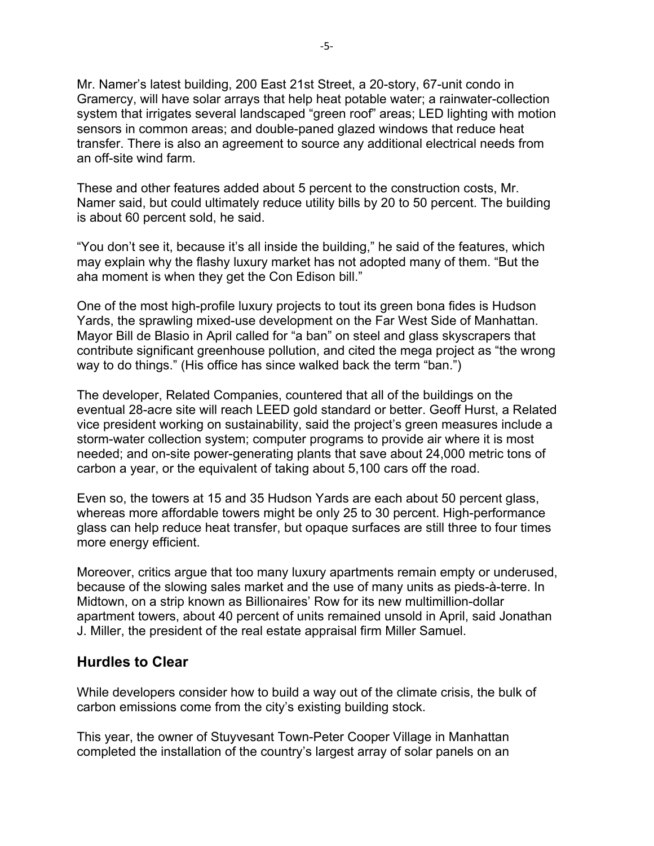Mr. Namer's latest building, 200 East 21st Street, a 20-story, 67-unit condo in Gramercy, will have solar arrays that help heat potable water; a rainwater-collection system that irrigates several landscaped "green roof" areas; LED lighting with motion sensors in common areas; and double-paned glazed windows that reduce heat transfer. There is also an agreement to source any additional electrical needs from an off-site wind farm.

These and other features added about 5 percent to the construction costs, Mr. Namer said, but could ultimately reduce utility bills by 20 to 50 percent. The building is about 60 percent sold, he said.

"You don't see it, because it's all inside the building," he said of the features, which may explain why the flashy luxury market has not adopted many of them. "But the aha moment is when they get the Con Edison bill."

One of the most high-profile luxury projects to tout its green bona fides is Hudson Yards, the sprawling mixed-use development on the Far West Side of Manhattan. Mayor Bill de Blasio in April called for "a ban" on steel and glass skyscrapers that contribute significant greenhouse pollution, and cited the mega project as "the wrong way to do things." (His office has since walked back the term "ban.")

The developer, Related Companies, countered that all of the buildings on the eventual 28-acre site will reach LEED gold standard or better. Geoff Hurst, a Related vice president working on sustainability, said the project's green measures include a storm-water collection system; computer programs to provide air where it is most needed; and on-site power-generating plants that save about 24,000 metric tons of carbon a year, or the equivalent of taking about 5,100 cars off the road.

Even so, the towers at 15 and 35 Hudson Yards are each about 50 percent glass, whereas more affordable towers might be only 25 to 30 percent. High-performance glass can help reduce heat transfer, but opaque surfaces are still three to four times more energy efficient.

Moreover, critics argue that too many luxury apartments remain empty or underused, because of the slowing sales market and the use of many units as pieds-à-terre. In Midtown, on a strip known as Billionaires' Row for its new multimillion-dollar apartment towers, about 40 percent of units remained unsold in April, said Jonathan J. Miller, the president of the real estate appraisal firm Miller Samuel.

### **Hurdles to Clear**

While developers consider how to build a way out of the climate crisis, the bulk of carbon emissions come from the city's existing building stock.

This year, the owner of Stuyvesant Town-Peter Cooper Village in Manhattan completed the installation of the country's largest array of solar panels on an